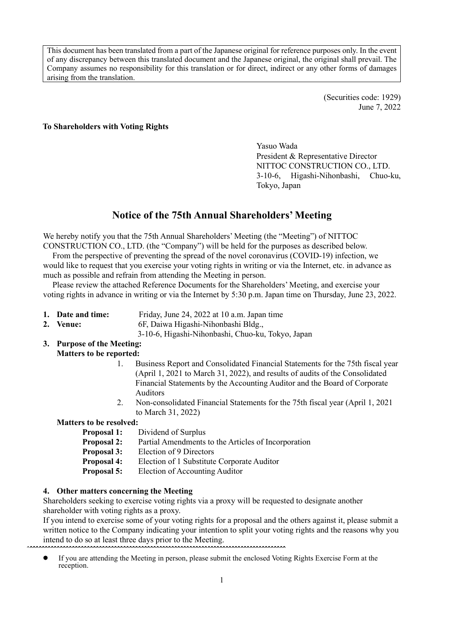This document has been translated from a part of the Japanese original for reference purposes only. In the event of any discrepancy between this translated document and the Japanese original, the original shall prevail. The Company assumes no responsibility for this translation or for direct, indirect or any other forms of damages arising from the translation.

> (Securities code: 1929) June 7, 2022

#### **To Shareholders with Voting Rights**

Yasuo Wada President & Representative Director NITTOC CONSTRUCTION CO., LTD. 3-10-6, Higashi-Nihonbashi, Chuo-ku, Tokyo, Japan

# **Notice of the 75th Annual Shareholders' Meeting**

We hereby notify you that the 75th Annual Shareholders' Meeting (the "Meeting") of NITTOC CONSTRUCTION CO., LTD. (the "Company") will be held for the purposes as described below.

From the perspective of preventing the spread of the novel coronavirus (COVID-19) infection, we would like to request that you exercise your voting rights in writing or via the Internet, etc. in advance as much as possible and refrain from attending the Meeting in person.

Please review the attached Reference Documents for the Shareholders' Meeting, and exercise your voting rights in advance in writing or via the Internet by 5:30 p.m. Japan time on Thursday, June 23, 2022.

- **1. Date and time:** Friday, June 24, 2022 at 10 a.m. Japan time
- **2. Venue:** 6F, Daiwa Higashi-Nihonbashi Bldg.,

3-10-6, Higashi-Nihonbashi, Chuo-ku, Tokyo, Japan

#### **3. Purpose of the Meeting: Matters to be reported:**

- 1. Business Report and Consolidated Financial Statements for the 75th fiscal year (April 1, 2021 to March 31, 2022), and results of audits of the Consolidated Financial Statements by the Accounting Auditor and the Board of Corporate Auditors
- 2. Non-consolidated Financial Statements for the 75th fiscal year (April 1, 2021 to March 31, 2022)

#### **Matters to be resolved:**

- **Proposal 1:** Dividend of Surplus
- **Proposal 2:** Partial Amendments to the Articles of Incorporation
- **Proposal 3:** Election of 9 Directors
- **Proposal 4:** Election of 1 Substitute Corporate Auditor
- **Proposal 5:** Election of Accounting Auditor

#### **4. Other matters concerning the Meeting**

Shareholders seeking to exercise voting rights via a proxy will be requested to designate another shareholder with voting rights as a proxy.

If you intend to exercise some of your voting rights for a proposal and the others against it, please submit a written notice to the Company indicating your intention to split your voting rights and the reasons why you intend to do so at least three days prior to the Meeting.

ˆ**ˆˆˆˆˆˆˆˆˆˆˆˆˆˆˆˆˆˆˆˆˆˆˆˆˆˆˆˆˆˆˆˆˆˆˆˆˆˆˆˆˆˆˆˆˆˆˆˆˆˆˆˆˆˆˆˆˆˆˆˆˆˆˆˆˆˆˆˆˆˆˆˆˆˆˆˆˆˆˆˆˆˆˆˆˆ** If you are attending the Meeting in person, please submit the enclosed Voting Rights Exercise Form at the  $\bullet$ reception.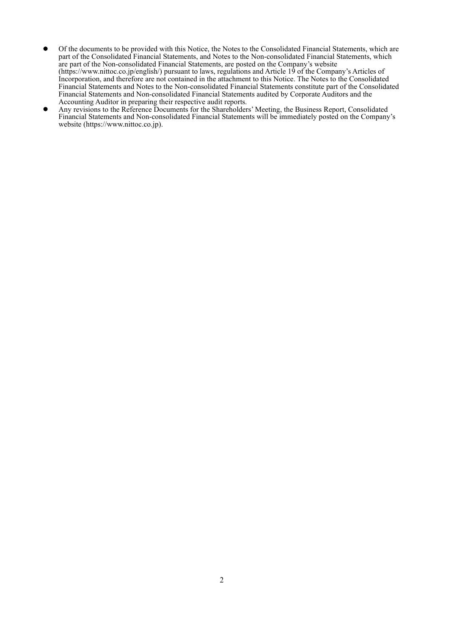- Of the documents to be provided with this Notice, the Notes to the Consolidated Financial Statements, which are  $\bullet$ part of the Consolidated Financial Statements, and Notes to the Non-consolidated Financial Statements, which are part of the Non-consolidated Financial Statements, are posted on the Company's website (https://www.nittoc.co.jp/english/) pursuant to laws, regulations and Article 19 of the Company's Articles of Incorporation, and therefore are not contained in the attachment to this Notice. The Notes to the Consolidated Financial Statements and Notes to the Non-consolidated Financial Statements constitute part of the Consolidated Financial Statements and Non-consolidated Financial Statements audited by Corporate Auditors and the Accounting Auditor in preparing their respective audit reports.
- Any revisions to the Reference Documents for the Shareholders' Meeting, the Business Report, Consolidated  $\bullet$ Financial Statements and Non-consolidated Financial Statements will be immediately posted on the Company's website (https://www.nittoc.co.jp).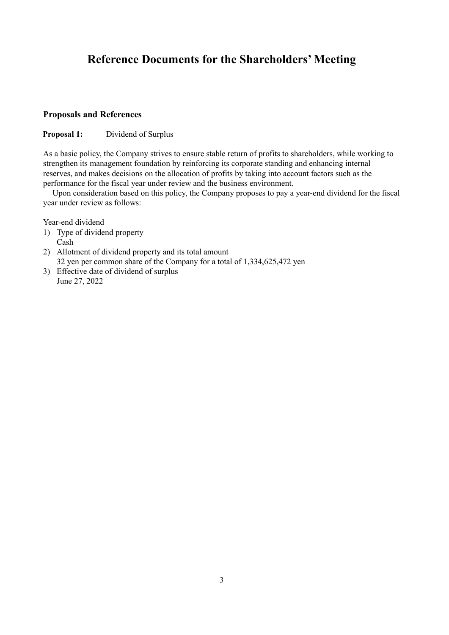# **Reference Documents for the Shareholders' Meeting**

## **Proposals and References**

#### **Proposal 1:** Dividend of Surplus

As a basic policy, the Company strives to ensure stable return of profits to shareholders, while working to strengthen its management foundation by reinforcing its corporate standing and enhancing internal reserves, and makes decisions on the allocation of profits by taking into account factors such as the performance for the fiscal year under review and the business environment.

Upon consideration based on this policy, the Company proposes to pay a year-end dividend for the fiscal year under review as follows:

Year-end dividend

- 1) Type of dividend property Cash
- 2) Allotment of dividend property and its total amount 32 yen per common share of the Company for a total of 1,334,625,472 yen
- 3) Effective date of dividend of surplus June 27, 2022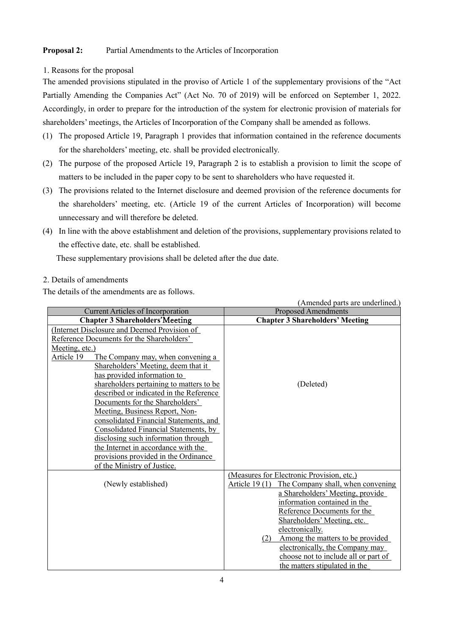## **Proposal 2:** Partial Amendments to the Articles of Incorporation

#### 1. Reasons for the proposal

The amended provisions stipulated in the proviso of Article 1 of the supplementary provisions of the "Act Partially Amending the Companies Act" (Act No. 70 of 2019) will be enforced on September 1, 2022. Accordingly, in order to prepare for the introduction of the system for electronic provision of materials for shareholders' meetings, the Articles of Incorporation of the Company shall be amended as follows.

- (1) The proposed Article 19, Paragraph 1 provides that information contained in the reference documents for the shareholders' meeting, etc. shall be provided electronically.
- (2) The purpose of the proposed Article 19, Paragraph 2 is to establish a provision to limit the scope of matters to be included in the paper copy to be sent to shareholders who have requested it.
- (3) The provisions related to the Internet disclosure and deemed provision of the reference documents for the shareholders' meeting, etc. (Article 19 of the current Articles of Incorporation) will become unnecessary and will therefore be deleted.
- (4) In line with the above establishment and deletion of the provisions, supplementary provisions related to the effective date, etc. shall be established.

These supplementary provisions shall be deleted after the due date.

# 2. Details of amendments

The details of the amendments are as follows.

|                                                 | (Amended parts are underlined.)                    |
|-------------------------------------------------|----------------------------------------------------|
| <b>Current Articles of Incorporation</b>        | <b>Proposed Amendments</b>                         |
| <b>Chapter 3 Shareholders' Meeting</b>          | <b>Chapter 3 Shareholders' Meeting</b>             |
| (Internet Disclosure and Deemed Provision of    |                                                    |
| Reference Documents for the Shareholders'       |                                                    |
| Meeting, etc.)                                  |                                                    |
| Article 19<br>The Company may, when convening a |                                                    |
| Shareholders' Meeting, deem that it             |                                                    |
| has provided information to                     |                                                    |
| shareholders pertaining to matters to be        | (Deleted)                                          |
| described or indicated in the Reference         |                                                    |
| Documents for the Shareholders'                 |                                                    |
| Meeting, Business Report, Non-                  |                                                    |
| consolidated Financial Statements, and          |                                                    |
| Consolidated Financial Statements, by           |                                                    |
| disclosing such information through             |                                                    |
| the Internet in accordance with the             |                                                    |
| provisions provided in the Ordinance            |                                                    |
| of the Ministry of Justice.                     |                                                    |
|                                                 | (Measures for Electronic Provision, etc.)          |
| (Newly established)                             | Article 19(1)<br>The Company shall, when convening |
|                                                 | a Shareholders' Meeting, provide                   |
|                                                 | information contained in the                       |
|                                                 | Reference Documents for the                        |
|                                                 | Shareholders' Meeting, etc.                        |
|                                                 | electronically.                                    |
|                                                 | Among the matters to be provided<br>(2)            |
|                                                 | electronically, the Company may                    |
|                                                 | choose not to include all or part of               |
|                                                 | the matters stipulated in the                      |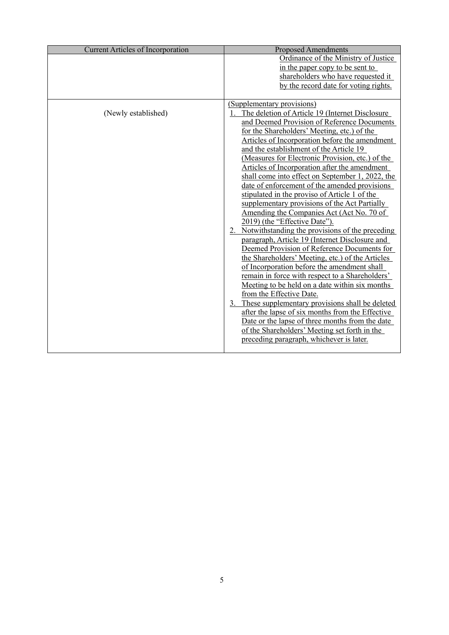| <b>Current Articles of Incorporation</b> | <b>Proposed Amendments</b>                         |
|------------------------------------------|----------------------------------------------------|
|                                          | Ordinance of the Ministry of Justice               |
|                                          | in the paper copy to be sent to                    |
|                                          | shareholders who have requested it                 |
|                                          | by the record date for voting rights.              |
|                                          |                                                    |
|                                          | (Supplementary provisions)                         |
| (Newly established)                      | The deletion of Article 19 (Internet Disclosure    |
|                                          | and Deemed Provision of Reference Documents        |
|                                          | for the Shareholders' Meeting, etc.) of the        |
|                                          | Articles of Incorporation before the amendment     |
|                                          | and the establishment of the Article 19            |
|                                          | (Measures for Electronic Provision, etc.) of the   |
|                                          | Articles of Incorporation after the amendment      |
|                                          | shall come into effect on September 1, 2022, the   |
|                                          | date of enforcement of the amended provisions      |
|                                          | stipulated in the proviso of Article 1 of the      |
|                                          | supplementary provisions of the Act Partially      |
|                                          | Amending the Companies Act (Act No. 70 of          |
|                                          | 2019) (the "Effective Date").                      |
|                                          | 2. Notwithstanding the provisions of the preceding |
|                                          | paragraph, Article 19 (Internet Disclosure and     |
|                                          | Deemed Provision of Reference Documents for        |
|                                          | the Shareholders' Meeting, etc.) of the Articles   |
|                                          | of Incorporation before the amendment shall        |
|                                          | remain in force with respect to a Shareholders'    |
|                                          | Meeting to be held on a date within six months     |
|                                          | from the Effective Date.                           |
|                                          | 3. These supplementary provisions shall be deleted |
|                                          | after the lapse of six months from the Effective   |
|                                          | Date or the lapse of three months from the date    |
|                                          | of the Shareholders' Meeting set forth in the      |
|                                          | preceding paragraph, whichever is later.           |
|                                          |                                                    |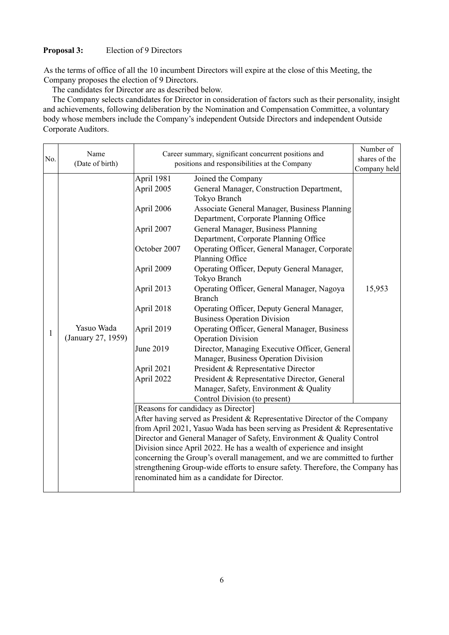#### **Proposal 3:** Election of 9 Directors

As the terms of office of all the 10 incumbent Directors will expire at the close of this Meeting, the Company proposes the election of 9 Directors.

The candidates for Director are as described below.

The Company selects candidates for Director in consideration of factors such as their personality, insight and achievements, following deliberation by the Nomination and Compensation Committee, a voluntary body whose members include the Company's independent Outside Directors and independent Outside Corporate Auditors.

|     | Name               | Career summary, significant concurrent positions and                          | Number of                                                                  |        |  |  |  |  |
|-----|--------------------|-------------------------------------------------------------------------------|----------------------------------------------------------------------------|--------|--|--|--|--|
| No. | (Date of birth)    | positions and responsibilities at the Company                                 | shares of the                                                              |        |  |  |  |  |
|     |                    |                                                                               | Company held                                                               |        |  |  |  |  |
|     |                    | April 1981                                                                    | Joined the Company                                                         |        |  |  |  |  |
|     |                    | April 2005                                                                    | General Manager, Construction Department,                                  |        |  |  |  |  |
|     |                    |                                                                               | Tokyo Branch                                                               |        |  |  |  |  |
|     |                    | April 2006                                                                    | Associate General Manager, Business Planning                               |        |  |  |  |  |
|     |                    |                                                                               | Department, Corporate Planning Office                                      |        |  |  |  |  |
|     |                    | April 2007                                                                    | General Manager, Business Planning                                         |        |  |  |  |  |
|     |                    |                                                                               | Department, Corporate Planning Office                                      |        |  |  |  |  |
|     |                    | October 2007                                                                  | Operating Officer, General Manager, Corporate                              |        |  |  |  |  |
|     |                    |                                                                               | Planning Office                                                            |        |  |  |  |  |
|     |                    | April 2009                                                                    | Operating Officer, Deputy General Manager,                                 |        |  |  |  |  |
|     |                    |                                                                               | Tokyo Branch                                                               |        |  |  |  |  |
|     |                    | April 2013                                                                    | Operating Officer, General Manager, Nagoya                                 | 15,953 |  |  |  |  |
|     |                    |                                                                               | <b>Branch</b>                                                              |        |  |  |  |  |
|     |                    | April 2018                                                                    | Operating Officer, Deputy General Manager,                                 |        |  |  |  |  |
|     |                    |                                                                               | <b>Business Operation Division</b>                                         |        |  |  |  |  |
| 1   | Yasuo Wada         | April 2019                                                                    | Operating Officer, General Manager, Business                               |        |  |  |  |  |
|     | (January 27, 1959) |                                                                               | <b>Operation Division</b>                                                  |        |  |  |  |  |
|     |                    | June 2019                                                                     | Director, Managing Executive Officer, General                              |        |  |  |  |  |
|     |                    |                                                                               | Manager, Business Operation Division                                       |        |  |  |  |  |
|     |                    | April 2021                                                                    | President & Representative Director                                        |        |  |  |  |  |
|     |                    | April 2022                                                                    | President & Representative Director, General                               |        |  |  |  |  |
|     |                    |                                                                               | Manager, Safety, Environment & Quality                                     |        |  |  |  |  |
|     |                    | Control Division (to present)                                                 |                                                                            |        |  |  |  |  |
|     |                    | [Reasons for candidacy as Director]                                           |                                                                            |        |  |  |  |  |
|     |                    | After having served as President & Representative Director of the Company     |                                                                            |        |  |  |  |  |
|     |                    | from April 2021, Yasuo Wada has been serving as President & Representative    |                                                                            |        |  |  |  |  |
|     |                    |                                                                               | Director and General Manager of Safety, Environment & Quality Control      |        |  |  |  |  |
|     |                    |                                                                               | Division since April 2022. He has a wealth of experience and insight       |        |  |  |  |  |
|     |                    |                                                                               | concerning the Group's overall management, and we are committed to further |        |  |  |  |  |
|     |                    | strengthening Group-wide efforts to ensure safety. Therefore, the Company has |                                                                            |        |  |  |  |  |
|     |                    | renominated him as a candidate for Director.                                  |                                                                            |        |  |  |  |  |
|     |                    |                                                                               |                                                                            |        |  |  |  |  |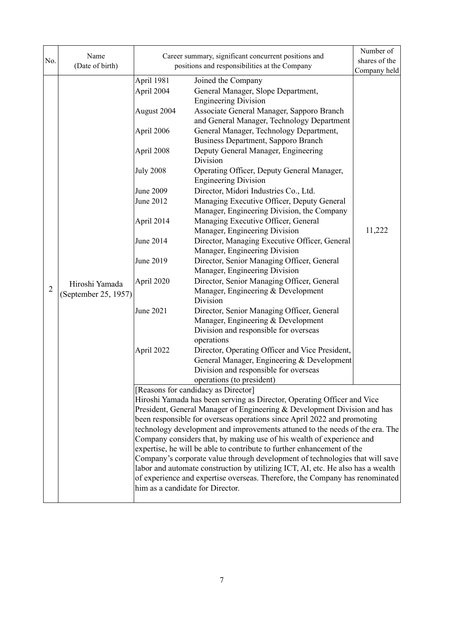| No.                                                                                                                                                                                                                             | Name                 | Career summary, significant concurrent positions and                                                                                                    |                                                                                | Number of<br>shares of the |  |  |  |
|---------------------------------------------------------------------------------------------------------------------------------------------------------------------------------------------------------------------------------|----------------------|---------------------------------------------------------------------------------------------------------------------------------------------------------|--------------------------------------------------------------------------------|----------------------------|--|--|--|
|                                                                                                                                                                                                                                 | (Date of birth)      |                                                                                                                                                         | positions and responsibilities at the Company                                  | Company held               |  |  |  |
|                                                                                                                                                                                                                                 |                      | April 1981                                                                                                                                              | Joined the Company                                                             |                            |  |  |  |
|                                                                                                                                                                                                                                 |                      | April 2004                                                                                                                                              | General Manager, Slope Department,                                             |                            |  |  |  |
|                                                                                                                                                                                                                                 |                      |                                                                                                                                                         | <b>Engineering Division</b>                                                    |                            |  |  |  |
|                                                                                                                                                                                                                                 |                      | August 2004                                                                                                                                             | Associate General Manager, Sapporo Branch                                      |                            |  |  |  |
|                                                                                                                                                                                                                                 |                      |                                                                                                                                                         | and General Manager, Technology Department                                     |                            |  |  |  |
|                                                                                                                                                                                                                                 |                      | April 2006                                                                                                                                              | General Manager, Technology Department,<br>Business Department, Sapporo Branch |                            |  |  |  |
|                                                                                                                                                                                                                                 |                      | April 2008                                                                                                                                              | Deputy General Manager, Engineering                                            |                            |  |  |  |
|                                                                                                                                                                                                                                 |                      |                                                                                                                                                         | Division                                                                       |                            |  |  |  |
|                                                                                                                                                                                                                                 |                      | <b>July 2008</b>                                                                                                                                        | Operating Officer, Deputy General Manager,                                     |                            |  |  |  |
|                                                                                                                                                                                                                                 |                      |                                                                                                                                                         | <b>Engineering Division</b>                                                    |                            |  |  |  |
|                                                                                                                                                                                                                                 |                      | June 2009                                                                                                                                               | Director, Midori Industries Co., Ltd.                                          |                            |  |  |  |
|                                                                                                                                                                                                                                 |                      | June 2012                                                                                                                                               | Managing Executive Officer, Deputy General                                     |                            |  |  |  |
|                                                                                                                                                                                                                                 |                      |                                                                                                                                                         | Manager, Engineering Division, the Company                                     |                            |  |  |  |
|                                                                                                                                                                                                                                 |                      | April 2014                                                                                                                                              | Managing Executive Officer, General                                            |                            |  |  |  |
|                                                                                                                                                                                                                                 |                      | June 2014                                                                                                                                               | Manager, Engineering Division<br>Director, Managing Executive Officer, General | 11,222                     |  |  |  |
|                                                                                                                                                                                                                                 |                      |                                                                                                                                                         | Manager, Engineering Division                                                  |                            |  |  |  |
|                                                                                                                                                                                                                                 |                      | June 2019                                                                                                                                               | Director, Senior Managing Officer, General                                     |                            |  |  |  |
|                                                                                                                                                                                                                                 |                      |                                                                                                                                                         | Manager, Engineering Division                                                  |                            |  |  |  |
|                                                                                                                                                                                                                                 | Hiroshi Yamada       | April 2020                                                                                                                                              | Director, Senior Managing Officer, General                                     |                            |  |  |  |
| $\overline{2}$                                                                                                                                                                                                                  | (September 25, 1957) |                                                                                                                                                         | Manager, Engineering & Development                                             |                            |  |  |  |
|                                                                                                                                                                                                                                 |                      |                                                                                                                                                         | Division                                                                       |                            |  |  |  |
|                                                                                                                                                                                                                                 |                      | June 2021                                                                                                                                               | Director, Senior Managing Officer, General                                     |                            |  |  |  |
|                                                                                                                                                                                                                                 |                      |                                                                                                                                                         | Manager, Engineering & Development                                             |                            |  |  |  |
|                                                                                                                                                                                                                                 |                      |                                                                                                                                                         | Division and responsible for overseas<br>operations                            |                            |  |  |  |
|                                                                                                                                                                                                                                 |                      | April 2022                                                                                                                                              | Director, Operating Officer and Vice President,                                |                            |  |  |  |
|                                                                                                                                                                                                                                 |                      |                                                                                                                                                         | General Manager, Engineering & Development                                     |                            |  |  |  |
|                                                                                                                                                                                                                                 |                      |                                                                                                                                                         | Division and responsible for overseas                                          |                            |  |  |  |
|                                                                                                                                                                                                                                 |                      |                                                                                                                                                         | operations (to president)                                                      |                            |  |  |  |
|                                                                                                                                                                                                                                 |                      |                                                                                                                                                         | [Reasons for candidacy as Director]                                            |                            |  |  |  |
|                                                                                                                                                                                                                                 |                      |                                                                                                                                                         | Hiroshi Yamada has been serving as Director, Operating Officer and Vice        |                            |  |  |  |
|                                                                                                                                                                                                                                 |                      | President, General Manager of Engineering & Development Division and has                                                                                |                                                                                |                            |  |  |  |
|                                                                                                                                                                                                                                 |                      | been responsible for overseas operations since April 2022 and promoting<br>technology development and improvements attuned to the needs of the era. The |                                                                                |                            |  |  |  |
|                                                                                                                                                                                                                                 |                      |                                                                                                                                                         |                                                                                |                            |  |  |  |
| Company considers that, by making use of his wealth of experience and<br>expertise, he will be able to contribute to further enhancement of the<br>Company's corporate value through development of technologies that will save |                      |                                                                                                                                                         |                                                                                |                            |  |  |  |
|                                                                                                                                                                                                                                 |                      |                                                                                                                                                         |                                                                                |                            |  |  |  |
|                                                                                                                                                                                                                                 |                      |                                                                                                                                                         | of experience and expertise overseas. Therefore, the Company has renominated   |                            |  |  |  |
|                                                                                                                                                                                                                                 |                      | him as a candidate for Director.                                                                                                                        |                                                                                |                            |  |  |  |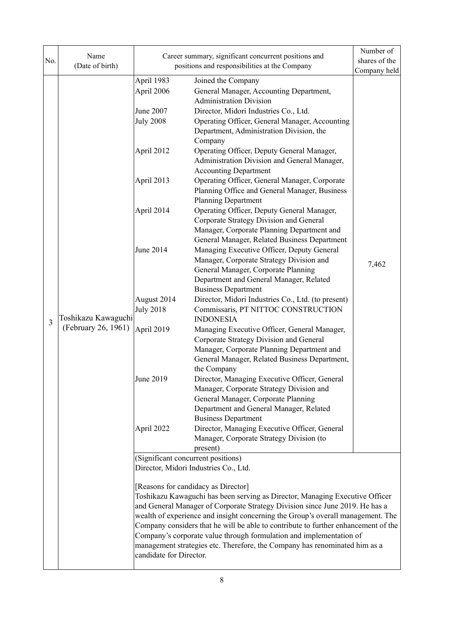| No. | Name                                       | Career summary, significant concurrent positions and                      |                                                                                                                                                                                                                                                                                                                                                                                                                                                                                                                                   | Number of<br>shares of the |  |  |  |
|-----|--------------------------------------------|---------------------------------------------------------------------------|-----------------------------------------------------------------------------------------------------------------------------------------------------------------------------------------------------------------------------------------------------------------------------------------------------------------------------------------------------------------------------------------------------------------------------------------------------------------------------------------------------------------------------------|----------------------------|--|--|--|
|     | (Date of birth)                            |                                                                           | positions and responsibilities at the Company                                                                                                                                                                                                                                                                                                                                                                                                                                                                                     | Company held               |  |  |  |
|     |                                            | April 1983<br>April 2006                                                  | Joined the Company<br>General Manager, Accounting Department,<br><b>Administration Division</b>                                                                                                                                                                                                                                                                                                                                                                                                                                   |                            |  |  |  |
|     |                                            | June 2007<br><b>July 2008</b><br>Department, Administration Division, the | Director, Midori Industries Co., Ltd.<br>Operating Officer, General Manager, Accounting<br>Company                                                                                                                                                                                                                                                                                                                                                                                                                                |                            |  |  |  |
|     |                                            | April 2012                                                                | Operating Officer, Deputy General Manager,<br>Administration Division and General Manager,<br><b>Accounting Department</b>                                                                                                                                                                                                                                                                                                                                                                                                        |                            |  |  |  |
|     |                                            | April 2013                                                                | Operating Officer, General Manager, Corporate<br>Planning Office and General Manager, Business<br><b>Planning Department</b>                                                                                                                                                                                                                                                                                                                                                                                                      |                            |  |  |  |
|     |                                            | April 2014                                                                | Operating Officer, Deputy General Manager,<br>Corporate Strategy Division and General<br>Manager, Corporate Planning Department and<br>General Manager, Related Business Department                                                                                                                                                                                                                                                                                                                                               |                            |  |  |  |
|     | Toshikazu Kawaguchi<br>(February 26, 1961) | June 2014                                                                 | Managing Executive Officer, Deputy General<br>Manager, Corporate Strategy Division and<br>General Manager, Corporate Planning<br>Department and General Manager, Related<br><b>Business Department</b>                                                                                                                                                                                                                                                                                                                            | 7,462                      |  |  |  |
| 3   |                                            | August 2014<br><b>July 2018</b>                                           | Director, Midori Industries Co., Ltd. (to present)<br>Commissaris, PT NITTOC CONSTRUCTION<br><b>INDONESIA</b>                                                                                                                                                                                                                                                                                                                                                                                                                     |                            |  |  |  |
|     |                                            | April 2019                                                                | Managing Executive Officer, General Manager,<br>Corporate Strategy Division and General<br>Manager, Corporate Planning Department and<br>General Manager, Related Business Department,<br>the Company                                                                                                                                                                                                                                                                                                                             |                            |  |  |  |
|     |                                            | June 2019                                                                 | Director, Managing Executive Officer, General<br>Manager, Corporate Strategy Division and<br>General Manager, Corporate Planning<br>Department and General Manager, Related<br><b>Business Department</b>                                                                                                                                                                                                                                                                                                                         |                            |  |  |  |
|     |                                            | April 2022                                                                | Director, Managing Executive Officer, General<br>Manager, Corporate Strategy Division (to<br>present)                                                                                                                                                                                                                                                                                                                                                                                                                             |                            |  |  |  |
|     |                                            | (Significant concurrent positions)                                        |                                                                                                                                                                                                                                                                                                                                                                                                                                                                                                                                   |                            |  |  |  |
|     |                                            | Director, Midori Industries Co., Ltd.                                     |                                                                                                                                                                                                                                                                                                                                                                                                                                                                                                                                   |                            |  |  |  |
|     |                                            |                                                                           | [Reasons for candidacy as Director]<br>Toshikazu Kawaguchi has been serving as Director, Managing Executive Officer<br>and General Manager of Corporate Strategy Division since June 2019. He has a<br>wealth of experience and insight concerning the Group's overall management. The<br>Company considers that he will be able to contribute to further enhancement of the<br>Company's corporate value through formulation and implementation of<br>management strategies etc. Therefore, the Company has renominated him as a |                            |  |  |  |
|     |                                            | candidate for Director.                                                   |                                                                                                                                                                                                                                                                                                                                                                                                                                                                                                                                   |                            |  |  |  |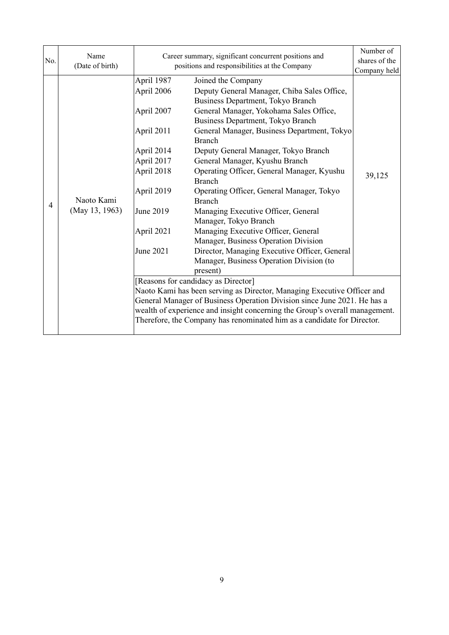| No.            | Name<br>(Date of birth) | Career summary, significant concurrent positions and<br>positions and responsibilities at the Company        |                                                                                                                                                                                                                                                                                                                                                                                                                                                               | Number of<br>shares of the |
|----------------|-------------------------|--------------------------------------------------------------------------------------------------------------|---------------------------------------------------------------------------------------------------------------------------------------------------------------------------------------------------------------------------------------------------------------------------------------------------------------------------------------------------------------------------------------------------------------------------------------------------------------|----------------------------|
| $\overline{4}$ | Naoto Kami              | April 1987<br>April 2006<br>April 2007<br>April 2011<br>April 2014<br>April 2017<br>April 2018<br>April 2019 | Joined the Company<br>Deputy General Manager, Chiba Sales Office,<br>Business Department, Tokyo Branch<br>General Manager, Yokohama Sales Office,<br>Business Department, Tokyo Branch<br>General Manager, Business Department, Tokyo<br><b>Branch</b><br>Deputy General Manager, Tokyo Branch<br>General Manager, Kyushu Branch<br>Operating Officer, General Manager, Kyushu<br><b>Branch</b><br>Operating Officer, General Manager, Tokyo<br><b>Branch</b> | Company held<br>39,125     |
|                | (May 13, 1963)          | June 2019<br>April 2021<br>June 2021                                                                         | Managing Executive Officer, General<br>Manager, Tokyo Branch<br>Managing Executive Officer, General<br>Manager, Business Operation Division<br>Director, Managing Executive Officer, General<br>Manager, Business Operation Division (to<br>present)                                                                                                                                                                                                          |                            |
|                |                         |                                                                                                              | [Reasons for candidacy as Director]<br>Naoto Kami has been serving as Director, Managing Executive Officer and<br>General Manager of Business Operation Division since June 2021. He has a<br>wealth of experience and insight concerning the Group's overall management.<br>Therefore, the Company has renominated him as a candidate for Director.                                                                                                          |                            |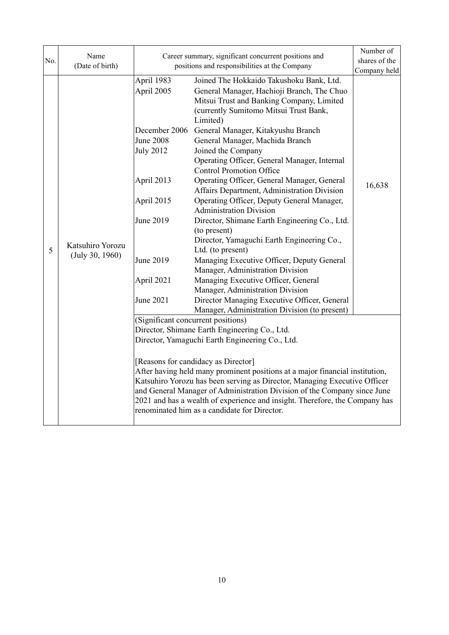| No. | Name<br>(Date of birth)             |                                                                                                                                                                    | Career summary, significant concurrent positions and<br>positions and responsibilities at the Company                                                                                                                                                                                                                                                                                                                                                                                                                                                                                                                                                                                                                                                                                                                                                                                                                                                       |                        |
|-----|-------------------------------------|--------------------------------------------------------------------------------------------------------------------------------------------------------------------|-------------------------------------------------------------------------------------------------------------------------------------------------------------------------------------------------------------------------------------------------------------------------------------------------------------------------------------------------------------------------------------------------------------------------------------------------------------------------------------------------------------------------------------------------------------------------------------------------------------------------------------------------------------------------------------------------------------------------------------------------------------------------------------------------------------------------------------------------------------------------------------------------------------------------------------------------------------|------------------------|
| 5   | Katsuhiro Yorozu<br>(July 30, 1960) | April 1983<br>April 2005<br>December 2006<br><b>June 2008</b><br><b>July 2012</b><br>April 2013<br>April 2015<br>June 2019<br>June 2019<br>April 2021<br>June 2021 | Joined The Hokkaido Takushoku Bank, Ltd.<br>General Manager, Hachioji Branch, The Chuo<br>Mitsui Trust and Banking Company, Limited<br>(currently Sumitomo Mitsui Trust Bank,<br>Limited)<br>General Manager, Kitakyushu Branch<br>General Manager, Machida Branch<br>Joined the Company<br>Operating Officer, General Manager, Internal<br><b>Control Promotion Office</b><br>Operating Officer, General Manager, General<br>Affairs Department, Administration Division<br>Operating Officer, Deputy General Manager,<br><b>Administration Division</b><br>Director, Shimane Earth Engineering Co., Ltd.<br>(to present)<br>Director, Yamaguchi Earth Engineering Co.,<br>Ltd. (to present)<br>Managing Executive Officer, Deputy General<br>Manager, Administration Division<br>Managing Executive Officer, General<br>Manager, Administration Division<br>Director Managing Executive Officer, General<br>Manager, Administration Division (to present) | Company held<br>16,638 |
|     |                                     |                                                                                                                                                                    | (Significant concurrent positions)<br>Director, Shimane Earth Engineering Co., Ltd.<br>Director, Yamaguchi Earth Engineering Co., Ltd.<br>[Reasons for candidacy as Director]<br>After having held many prominent positions at a major financial institution,<br>Katsuhiro Yorozu has been serving as Director, Managing Executive Officer<br>and General Manager of Administration Division of the Company since June<br>2021 and has a wealth of experience and insight. Therefore, the Company has<br>renominated him as a candidate for Director.                                                                                                                                                                                                                                                                                                                                                                                                       |                        |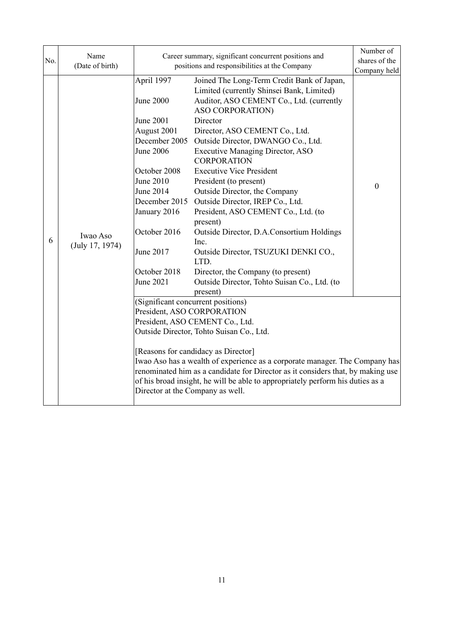| No. | Name<br>(Date of birth)     |                                                                                                                                                                                                                                      | Career summary, significant concurrent positions and<br>positions and responsibilities at the Company                                                                                                                                                                                                                                                                                                                                                                                                                                                                                                                                                                                                    | Number of<br>shares of the<br>Company held |
|-----|-----------------------------|--------------------------------------------------------------------------------------------------------------------------------------------------------------------------------------------------------------------------------------|----------------------------------------------------------------------------------------------------------------------------------------------------------------------------------------------------------------------------------------------------------------------------------------------------------------------------------------------------------------------------------------------------------------------------------------------------------------------------------------------------------------------------------------------------------------------------------------------------------------------------------------------------------------------------------------------------------|--------------------------------------------|
| 6   | Iwao Aso<br>(July 17, 1974) | April 1997<br><b>June 2000</b><br>June 2001<br>August 2001<br>December 2005<br><b>June 2006</b><br>October 2008<br>June 2010<br>June 2014<br>December 2015<br>January 2016<br>October 2016<br>June 2017<br>October 2018<br>June 2021 | Joined The Long-Term Credit Bank of Japan,<br>Limited (currently Shinsei Bank, Limited)<br>Auditor, ASO CEMENT Co., Ltd. (currently<br>ASO CORPORATION)<br>Director<br>Director, ASO CEMENT Co., Ltd.<br>Outside Director, DWANGO Co., Ltd.<br><b>Executive Managing Director, ASO</b><br><b>CORPORATION</b><br><b>Executive Vice President</b><br>President (to present)<br>Outside Director, the Company<br>Outside Director, IREP Co., Ltd.<br>President, ASO CEMENT Co., Ltd. (to<br>present)<br>Outside Director, D.A.Consortium Holdings<br>Inc.<br>Outside Director, TSUZUKI DENKI CO.,<br>LTD.<br>Director, the Company (to present)<br>Outside Director, Tohto Suisan Co., Ltd. (to<br>present) | $\boldsymbol{0}$                           |
|     |                             | President, ASO CORPORATION<br>Director at the Company as well.                                                                                                                                                                       | (Significant concurrent positions)<br>President, ASO CEMENT Co., Ltd.<br>Outside Director, Tohto Suisan Co., Ltd.<br>[Reasons for candidacy as Director]<br>Iwao Aso has a wealth of experience as a corporate manager. The Company has<br>renominated him as a candidate for Director as it considers that, by making use<br>of his broad insight, he will be able to appropriately perform his duties as a                                                                                                                                                                                                                                                                                             |                                            |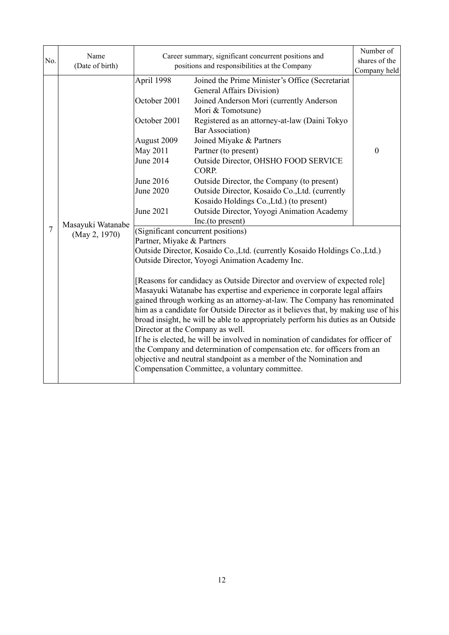|                | Name              | Career summary, significant concurrent positions and                              | Number of                                                                                                                                                                                                                                                                           |                  |  |  |  |
|----------------|-------------------|-----------------------------------------------------------------------------------|-------------------------------------------------------------------------------------------------------------------------------------------------------------------------------------------------------------------------------------------------------------------------------------|------------------|--|--|--|
| No.            | (Date of birth)   | positions and responsibilities at the Company                                     | shares of the                                                                                                                                                                                                                                                                       |                  |  |  |  |
|                |                   |                                                                                   |                                                                                                                                                                                                                                                                                     | Company held     |  |  |  |
|                |                   | April 1998                                                                        | Joined the Prime Minister's Office (Secretariat                                                                                                                                                                                                                                     |                  |  |  |  |
|                |                   |                                                                                   | <b>General Affairs Division</b> )                                                                                                                                                                                                                                                   |                  |  |  |  |
|                |                   | October 2001                                                                      | Joined Anderson Mori (currently Anderson                                                                                                                                                                                                                                            |                  |  |  |  |
|                |                   |                                                                                   | Mori & Tomotsune)                                                                                                                                                                                                                                                                   |                  |  |  |  |
|                |                   | October 2001                                                                      | Registered as an attorney-at-law (Daini Tokyo<br><b>Bar Association</b> )                                                                                                                                                                                                           |                  |  |  |  |
|                |                   | August 2009                                                                       | Joined Miyake & Partners                                                                                                                                                                                                                                                            |                  |  |  |  |
|                |                   | <b>May 2011</b>                                                                   | Partner (to present)                                                                                                                                                                                                                                                                | $\boldsymbol{0}$ |  |  |  |
|                |                   | June 2014                                                                         | Outside Director, OHSHO FOOD SERVICE<br>CORP.                                                                                                                                                                                                                                       |                  |  |  |  |
|                |                   | June 2016                                                                         | Outside Director, the Company (to present)                                                                                                                                                                                                                                          |                  |  |  |  |
|                | Masayuki Watanabe | June 2020                                                                         | Outside Director, Kosaido Co., Ltd. (currently                                                                                                                                                                                                                                      |                  |  |  |  |
|                |                   |                                                                                   | Kosaido Holdings Co., Ltd.) (to present)                                                                                                                                                                                                                                            |                  |  |  |  |
|                |                   | June 2021                                                                         | Outside Director, Yoyogi Animation Academy                                                                                                                                                                                                                                          |                  |  |  |  |
|                |                   |                                                                                   | Inc.(to present)                                                                                                                                                                                                                                                                    |                  |  |  |  |
| $\overline{7}$ | (May 2, 1970)     | (Significant concurrent positions)                                                |                                                                                                                                                                                                                                                                                     |                  |  |  |  |
|                |                   | Partner, Miyake & Partners                                                        |                                                                                                                                                                                                                                                                                     |                  |  |  |  |
|                |                   | Outside Director, Kosaido Co., Ltd. (currently Kosaido Holdings Co., Ltd.)        |                                                                                                                                                                                                                                                                                     |                  |  |  |  |
|                |                   |                                                                                   | Outside Director, Yoyogi Animation Academy Inc.                                                                                                                                                                                                                                     |                  |  |  |  |
|                |                   |                                                                                   | [Reasons for candidacy as Outside Director and overview of expected role]                                                                                                                                                                                                           |                  |  |  |  |
|                |                   | Masayuki Watanabe has expertise and experience in corporate legal affairs         |                                                                                                                                                                                                                                                                                     |                  |  |  |  |
|                |                   | gained through working as an attorney-at-law. The Company has renominated         |                                                                                                                                                                                                                                                                                     |                  |  |  |  |
|                |                   | him as a candidate for Outside Director as it believes that, by making use of his |                                                                                                                                                                                                                                                                                     |                  |  |  |  |
|                |                   | broad insight, he will be able to appropriately perform his duties as an Outside  |                                                                                                                                                                                                                                                                                     |                  |  |  |  |
|                |                   | Director at the Company as well.                                                  |                                                                                                                                                                                                                                                                                     |                  |  |  |  |
|                |                   |                                                                                   |                                                                                                                                                                                                                                                                                     |                  |  |  |  |
|                |                   |                                                                                   |                                                                                                                                                                                                                                                                                     |                  |  |  |  |
|                |                   |                                                                                   |                                                                                                                                                                                                                                                                                     |                  |  |  |  |
|                |                   |                                                                                   |                                                                                                                                                                                                                                                                                     |                  |  |  |  |
|                |                   |                                                                                   | If he is elected, he will be involved in nomination of candidates for officer of<br>the Company and determination of compensation etc. for officers from an<br>objective and neutral standpoint as a member of the Nomination and<br>Compensation Committee, a voluntary committee. |                  |  |  |  |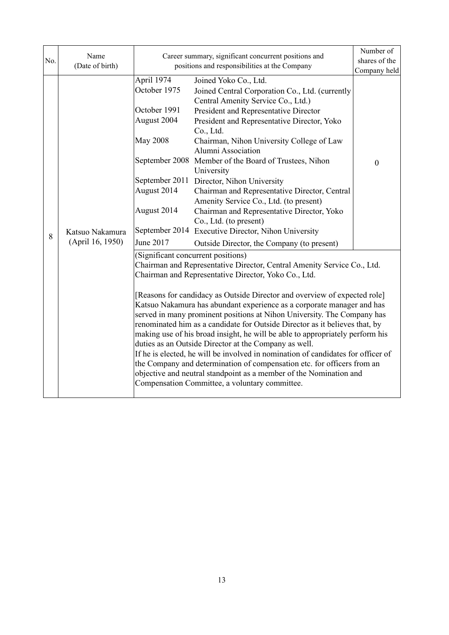| No. | Name<br>(Date of birth)             |                                                                                                                         | Career summary, significant concurrent positions and<br>positions and responsibilities at the Company                                                                                                                                                                                                                                                                                                                                                                                                                                                                                                                                                                                                                                                                                                                                                                             |                              |
|-----|-------------------------------------|-------------------------------------------------------------------------------------------------------------------------|-----------------------------------------------------------------------------------------------------------------------------------------------------------------------------------------------------------------------------------------------------------------------------------------------------------------------------------------------------------------------------------------------------------------------------------------------------------------------------------------------------------------------------------------------------------------------------------------------------------------------------------------------------------------------------------------------------------------------------------------------------------------------------------------------------------------------------------------------------------------------------------|------------------------------|
| 8   | Katsuo Nakamura<br>(April 16, 1950) | April 1974<br>October 1975<br>October 1991<br>August 2004<br><b>May 2008</b><br>August 2014<br>August 2014<br>June 2017 | Joined Yoko Co., Ltd.<br>Joined Central Corporation Co., Ltd. (currently<br>Central Amenity Service Co., Ltd.)<br>President and Representative Director<br>President and Representative Director, Yoko<br>Co., Ltd.<br>Chairman, Nihon University College of Law<br>Alumni Association<br>September 2008 Member of the Board of Trustees, Nihon<br>University<br>September 2011 Director, Nihon University<br>Chairman and Representative Director, Central<br>Amenity Service Co., Ltd. (to present)<br>Chairman and Representative Director, Yoko<br>Co., Ltd. (to present)<br>September 2014 Executive Director, Nihon University<br>Outside Director, the Company (to present)                                                                                                                                                                                                | Company held<br>$\mathbf{0}$ |
|     |                                     | (Significant concurrent positions)                                                                                      | Chairman and Representative Director, Central Amenity Service Co., Ltd.<br>Chairman and Representative Director, Yoko Co., Ltd.<br>[Reasons for candidacy as Outside Director and overview of expected role]<br>Katsuo Nakamura has abundant experience as a corporate manager and has<br>served in many prominent positions at Nihon University. The Company has<br>renominated him as a candidate for Outside Director as it believes that, by<br>making use of his broad insight, he will be able to appropriately perform his<br>duties as an Outside Director at the Company as well.<br>If he is elected, he will be involved in nomination of candidates for officer of<br>the Company and determination of compensation etc. for officers from an<br>objective and neutral standpoint as a member of the Nomination and<br>Compensation Committee, a voluntary committee. |                              |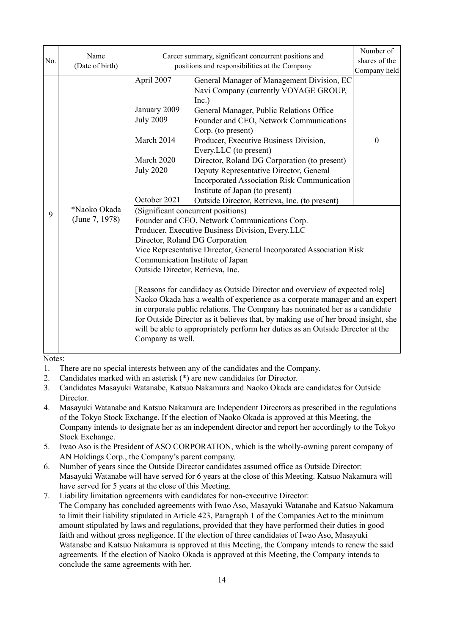| No. | Name<br>(Date of birth)        |                                                                                                                                                                                                                                                                                                                                                                                                                                                                                                                                                                                                                                                                                                                                                                 | Career summary, significant concurrent positions and<br>positions and responsibilities at the Company                                                                                                                                                                                                                                                                                                                                                                                                       | Number of<br>shares of the<br>Company held |  |
|-----|--------------------------------|-----------------------------------------------------------------------------------------------------------------------------------------------------------------------------------------------------------------------------------------------------------------------------------------------------------------------------------------------------------------------------------------------------------------------------------------------------------------------------------------------------------------------------------------------------------------------------------------------------------------------------------------------------------------------------------------------------------------------------------------------------------------|-------------------------------------------------------------------------------------------------------------------------------------------------------------------------------------------------------------------------------------------------------------------------------------------------------------------------------------------------------------------------------------------------------------------------------------------------------------------------------------------------------------|--------------------------------------------|--|
| 9   |                                | April 2007<br>January 2009<br><b>July 2009</b><br>March 2014<br>March 2020<br><b>July 2020</b><br>October 2021                                                                                                                                                                                                                                                                                                                                                                                                                                                                                                                                                                                                                                                  | General Manager of Management Division, EC<br>Navi Company (currently VOYAGE GROUP,<br>Inc.)<br>General Manager, Public Relations Office<br>Founder and CEO, Network Communications<br>Corp. (to present)<br>Producer, Executive Business Division,<br>Every.LLC (to present)<br>Director, Roland DG Corporation (to present)<br>Deputy Representative Director, General<br>Incorporated Association Risk Communication<br>Institute of Japan (to present)<br>Outside Director, Retrieva, Inc. (to present) | $\theta$                                   |  |
|     | *Naoko Okada<br>(June 7, 1978) | (Significant concurrent positions)<br>Founder and CEO, Network Communications Corp.<br>Producer, Executive Business Division, Every.LLC<br>Director, Roland DG Corporation<br>Vice Representative Director, General Incorporated Association Risk<br>Communication Institute of Japan<br>Outside Director, Retrieva, Inc.<br>[Reasons for candidacy as Outside Director and overview of expected role]<br>Naoko Okada has a wealth of experience as a corporate manager and an expert<br>in corporate public relations. The Company has nominated her as a candidate<br>for Outside Director as it believes that, by making use of her broad insight, she<br>will be able to appropriately perform her duties as an Outside Director at the<br>Company as well. |                                                                                                                                                                                                                                                                                                                                                                                                                                                                                                             |                                            |  |

Notes:

- 1. There are no special interests between any of the candidates and the Company.
- 2. Candidates marked with an asterisk (\*) are new candidates for Director.
- 3. Candidates Masayuki Watanabe, Katsuo Nakamura and Naoko Okada are candidates for Outside Director.
- 4. Masayuki Watanabe and Katsuo Nakamura are Independent Directors as prescribed in the regulations of the Tokyo Stock Exchange. If the election of Naoko Okada is approved at this Meeting, the Company intends to designate her as an independent director and report her accordingly to the Tokyo Stock Exchange.
- 5. Iwao Aso is the President of ASO CORPORATION, which is the wholly-owning parent company of AN Holdings Corp., the Company's parent company.
- 6. Number of years since the Outside Director candidates assumed office as Outside Director: Masayuki Watanabe will have served for 6 years at the close of this Meeting. Katsuo Nakamura will have served for 5 years at the close of this Meeting.
- 7. Liability limitation agreements with candidates for non-executive Director: The Company has concluded agreements with Iwao Aso, Masayuki Watanabe and Katsuo Nakamura to limit their liability stipulated in Article 423, Paragraph 1 of the Companies Act to the minimum amount stipulated by laws and regulations, provided that they have performed their duties in good faith and without gross negligence. If the election of three candidates of Iwao Aso, Masayuki Watanabe and Katsuo Nakamura is approved at this Meeting, the Company intends to renew the said agreements. If the election of Naoko Okada is approved at this Meeting, the Company intends to conclude the same agreements with her.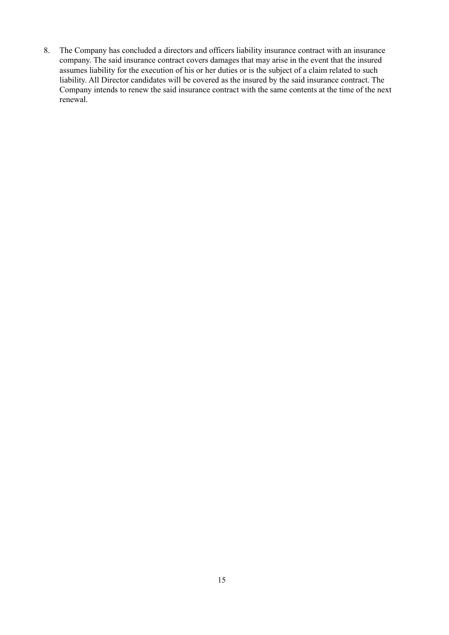8. The Company has concluded a directors and officers liability insurance contract with an insurance company. The said insurance contract covers damages that may arise in the event that the insured assumes liability for the execution of his or her duties or is the subject of a claim related to such liability. All Director candidates will be covered as the insured by the said insurance contract. The Company intends to renew the said insurance contract with the same contents at the time of the next renewal.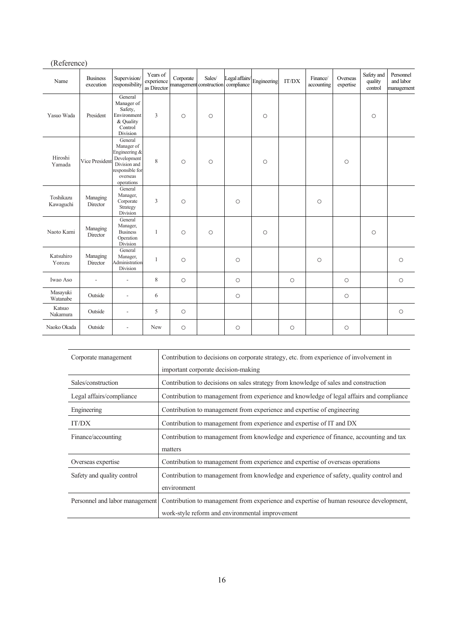|                        | (Reference)                  |                                                                                                                    |                                       |           |                                   |                              |             |            |                        |                       |                                  |                                      |
|------------------------|------------------------------|--------------------------------------------------------------------------------------------------------------------|---------------------------------------|-----------|-----------------------------------|------------------------------|-------------|------------|------------------------|-----------------------|----------------------------------|--------------------------------------|
| Name                   | <b>Business</b><br>execution | Supervision/<br>responsibility                                                                                     | Years of<br>experience<br>as Director | Corporate | Sales/<br>management construction | Legal affairs/<br>compliance | Engineering | IT/DX      | Finance/<br>accounting | Overseas<br>expertise | Safety and<br>quality<br>control | Personnel<br>and labor<br>management |
| Yasuo Wada             | President                    | General<br>Manager of<br>Safety,<br>Environment<br>& Quality<br>Control<br>Division                                | 3                                     | $\circ$   | $\circ$                           |                              | $\circ$     |            |                        |                       | $\circ$                          |                                      |
| Hiroshi<br>Yamada      | <b>Vice President</b>        | General<br>Manager of<br>Engineering &<br>Development<br>Division and<br>responsible for<br>overseas<br>operations | 8                                     | $\circ$   | $\circ$                           |                              | $\circ$     |            |                        | $\circ$               |                                  |                                      |
| Toshikazu<br>Kawaguchi | Managing<br>Director         | General<br>Manager,<br>Corporate<br>Strategy<br>Division                                                           | $\overline{3}$                        | $\circ$   |                                   | $\circ$                      |             |            | $\circ$                |                       |                                  |                                      |
| Naoto Kami             | Managing<br>Director         | General<br>Manager,<br><b>Business</b><br>Operation<br>Division                                                    | $\mathbf{1}$                          | $\circ$   | $\circ$                           |                              | $\circ$     |            |                        |                       | $\circ$                          |                                      |
| Katsuhiro<br>Yorozu    | Managing<br>Director         | General<br>Manager,<br>Administration<br>Division                                                                  | 1                                     | $\circ$   |                                   | $\circ$                      |             |            | $\circ$                |                       |                                  | $\circ$                              |
| Iwao Aso               | ÷,                           | L.                                                                                                                 | $\,$ 8 $\,$                           | $\circ$   |                                   | $\circ$                      |             | $\circ$    |                        | $\circ$               |                                  | $\bigcirc$                           |
| Masayuki<br>Watanabe   | Outside                      | $\overline{\phantom{a}}$                                                                                           | 6                                     |           |                                   | $\circ$                      |             |            |                        | $\circ$               |                                  |                                      |
| Katsuo<br>Nakamura     | Outside                      | L,                                                                                                                 | 5                                     | $\circ$   |                                   |                              |             |            |                        |                       |                                  | $\bigcirc$                           |
| Naoko Okada            | Outside                      | ۰                                                                                                                  | New                                   | $\circ$   |                                   | $\circ$                      |             | $\bigcirc$ |                        | $\circ$               |                                  |                                      |

| Corporate management           | Contribution to decisions on corporate strategy, etc. from experience of involvement in  |  |  |
|--------------------------------|------------------------------------------------------------------------------------------|--|--|
|                                | important corporate decision-making                                                      |  |  |
| Sales/construction             | Contribution to decisions on sales strategy from knowledge of sales and construction     |  |  |
| Legal affairs/compliance       | Contribution to management from experience and knowledge of legal affairs and compliance |  |  |
| Engineering                    | Contribution to management from experience and expertise of engineering                  |  |  |
| IT/DX                          | Contribution to management from experience and expertise of IT and DX                    |  |  |
| Finance/accounting             | Contribution to management from knowledge and experience of finance, accounting and tax  |  |  |
|                                | matters                                                                                  |  |  |
| Overseas expertise             | Contribution to management from experience and expertise of overseas operations          |  |  |
| Safety and quality control     | Contribution to management from knowledge and experience of safety, quality control and  |  |  |
|                                | environment                                                                              |  |  |
| Personnel and labor management | Contribution to management from experience and expertise of human resource development,  |  |  |
|                                | work-style reform and environmental improvement                                          |  |  |

16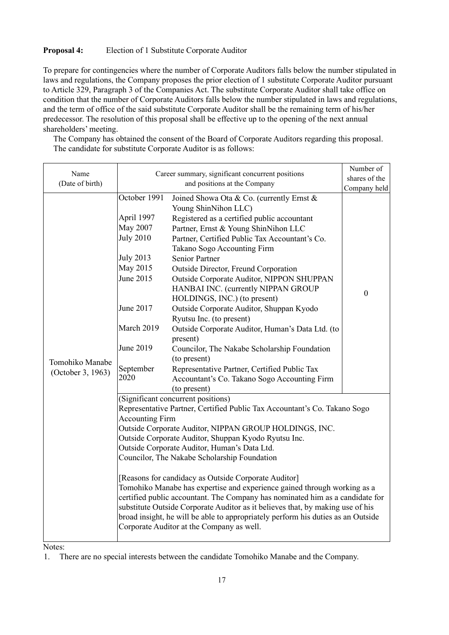#### **Proposal 4:** Election of 1 Substitute Corporate Auditor

To prepare for contingencies where the number of Corporate Auditors falls below the number stipulated in laws and regulations, the Company proposes the prior election of 1 substitute Corporate Auditor pursuant to Article 329, Paragraph 3 of the Companies Act. The substitute Corporate Auditor shall take office on condition that the number of Corporate Auditors falls below the number stipulated in laws and regulations, and the term of office of the said substitute Corporate Auditor shall be the remaining term of his/her predecessor. The resolution of this proposal shall be effective up to the opening of the next annual shareholders' meeting.

The Company has obtained the consent of the Board of Corporate Auditors regarding this proposal. The candidate for substitute Corporate Auditor is as follows:

| Name                                 | Career summary, significant concurrent positions                                                                                                                                                                                                                                                                                                                                                                                                                                                                                                                                                                                                                                                                                                                                                    | Number of                                                                                                                                                                                                                                                                                                                                                                                                                                                                                                                                                                                                                                                                                                                                              |                  |  |
|--------------------------------------|-----------------------------------------------------------------------------------------------------------------------------------------------------------------------------------------------------------------------------------------------------------------------------------------------------------------------------------------------------------------------------------------------------------------------------------------------------------------------------------------------------------------------------------------------------------------------------------------------------------------------------------------------------------------------------------------------------------------------------------------------------------------------------------------------------|--------------------------------------------------------------------------------------------------------------------------------------------------------------------------------------------------------------------------------------------------------------------------------------------------------------------------------------------------------------------------------------------------------------------------------------------------------------------------------------------------------------------------------------------------------------------------------------------------------------------------------------------------------------------------------------------------------------------------------------------------------|------------------|--|
| (Date of birth)                      |                                                                                                                                                                                                                                                                                                                                                                                                                                                                                                                                                                                                                                                                                                                                                                                                     | shares of the                                                                                                                                                                                                                                                                                                                                                                                                                                                                                                                                                                                                                                                                                                                                          |                  |  |
|                                      |                                                                                                                                                                                                                                                                                                                                                                                                                                                                                                                                                                                                                                                                                                                                                                                                     | and positions at the Company                                                                                                                                                                                                                                                                                                                                                                                                                                                                                                                                                                                                                                                                                                                           |                  |  |
| Tomohiko Manabe<br>(October 3, 1963) | October 1991<br>April 1997<br><b>May 2007</b><br><b>July 2010</b><br><b>July 2013</b><br>May 2015<br>June 2015<br>June 2017<br>March 2019<br>June 2019<br>September<br>2020                                                                                                                                                                                                                                                                                                                                                                                                                                                                                                                                                                                                                         | Joined Showa Ota & Co. (currently Ernst &<br>Young ShinNihon LLC)<br>Registered as a certified public accountant<br>Partner, Ernst & Young ShinNihon LLC<br>Partner, Certified Public Tax Accountant's Co.<br>Takano Sogo Accounting Firm<br><b>Senior Partner</b><br>Outside Director, Freund Corporation<br>Outside Corporate Auditor, NIPPON SHUPPAN<br>HANBAI INC. (currently NIPPAN GROUP<br>HOLDINGS, INC.) (to present)<br>Outside Corporate Auditor, Shuppan Kyodo<br>Ryutsu Inc. (to present)<br>Outside Corporate Auditor, Human's Data Ltd. (to<br>present)<br>Councilor, The Nakabe Scholarship Foundation<br>(to present)<br>Representative Partner, Certified Public Tax<br>Accountant's Co. Takano Sogo Accounting Firm<br>(to present) | $\boldsymbol{0}$ |  |
|                                      | (Significant concurrent positions)<br>Representative Partner, Certified Public Tax Accountant's Co. Takano Sogo<br><b>Accounting Firm</b><br>Outside Corporate Auditor, NIPPAN GROUP HOLDINGS, INC.<br>Outside Corporate Auditor, Shuppan Kyodo Ryutsu Inc.<br>Outside Corporate Auditor, Human's Data Ltd.<br>Councilor, The Nakabe Scholarship Foundation<br>[Reasons for candidacy as Outside Corporate Auditor]<br>Tomohiko Manabe has expertise and experience gained through working as a<br>certified public accountant. The Company has nominated him as a candidate for<br>substitute Outside Corporate Auditor as it believes that, by making use of his<br>broad insight, he will be able to appropriately perform his duties as an Outside<br>Corporate Auditor at the Company as well. |                                                                                                                                                                                                                                                                                                                                                                                                                                                                                                                                                                                                                                                                                                                                                        |                  |  |

Notes:

<sup>1.</sup> There are no special interests between the candidate Tomohiko Manabe and the Company.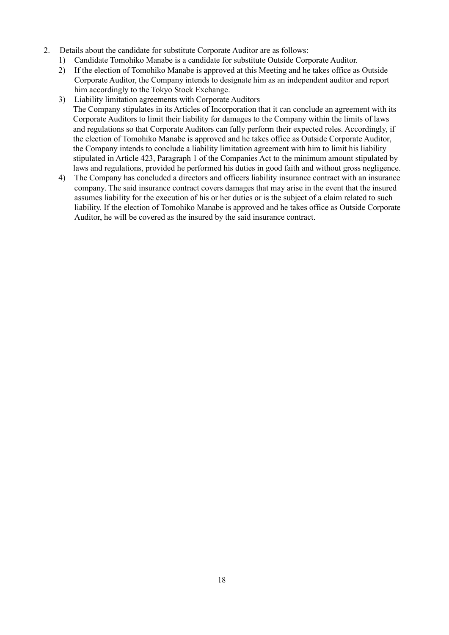- 2. Details about the candidate for substitute Corporate Auditor are as follows:
	- 1) Candidate Tomohiko Manabe is a candidate for substitute Outside Corporate Auditor.
	- 2) If the election of Tomohiko Manabe is approved at this Meeting and he takes office as Outside Corporate Auditor, the Company intends to designate him as an independent auditor and report him accordingly to the Tokyo Stock Exchange.
	- 3) Liability limitation agreements with Corporate Auditors The Company stipulates in its Articles of Incorporation that it can conclude an agreement with its Corporate Auditors to limit their liability for damages to the Company within the limits of laws and regulations so that Corporate Auditors can fully perform their expected roles. Accordingly, if the election of Tomohiko Manabe is approved and he takes office as Outside Corporate Auditor, the Company intends to conclude a liability limitation agreement with him to limit his liability stipulated in Article 423, Paragraph 1 of the Companies Act to the minimum amount stipulated by laws and regulations, provided he performed his duties in good faith and without gross negligence.
	- 4) The Company has concluded a directors and officers liability insurance contract with an insurance company. The said insurance contract covers damages that may arise in the event that the insured assumes liability for the execution of his or her duties or is the subject of a claim related to such liability. If the election of Tomohiko Manabe is approved and he takes office as Outside Corporate Auditor, he will be covered as the insured by the said insurance contract.